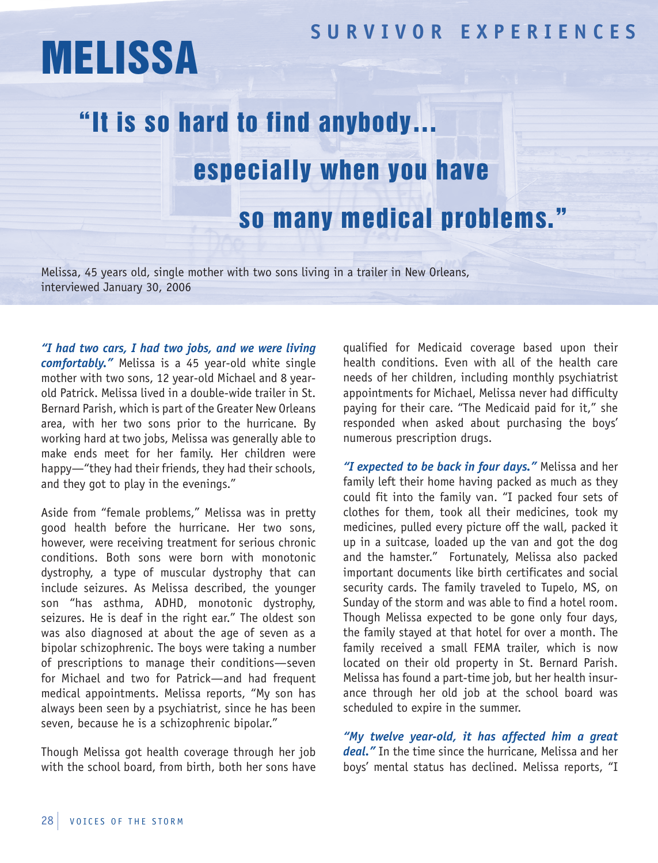## **SUR V I V OR EX P ER I ENCES**

## MELISSA

## "It is so hard to find anybody… especially when you have so many medical problems."

Melissa, 45 years old, single mother with two sons living in a trailer in New Orleans, interviewed January 30, 2006

*"I had two cars, I had two jobs, and we were living comfortably."* Melissa is a 45 year-old white single mother with two sons, 12 year-old Michael and 8 yearold Patrick. Melissa lived in a double-wide trailer in St. Bernard Parish, which is part of the Greater New Orleans area, with her two sons prior to the hurricane. By working hard at two jobs, Melissa was generally able to make ends meet for her family. Her children were happy—"they had their friends, they had their schools, and they got to play in the evenings."

Aside from "female problems," Melissa was in pretty good health before the hurricane. Her two sons, however, were receiving treatment for serious chronic conditions. Both sons were born with monotonic dystrophy, a type of muscular dystrophy that can include seizures. As Melissa described, the younger son "has asthma, ADHD, monotonic dystrophy, seizures. He is deaf in the right ear." The oldest son was also diagnosed at about the age of seven as a bipolar schizophrenic. The boys were taking a number of prescriptions to manage their conditions—seven for Michael and two for Patrick—and had frequent medical appointments. Melissa reports, "My son has always been seen by a psychiatrist, since he has been seven, because he is a schizophrenic bipolar."

Though Melissa got health coverage through her job with the school board, from birth, both her sons have qualified for Medicaid coverage based upon their health conditions. Even with all of the health care needs of her children, including monthly psychiatrist appointments for Michael, Melissa never had difficulty paying for their care. "The Medicaid paid for it," she responded when asked about purchasing the boys' numerous prescription drugs.

*"I expected to be back in four days."* Melissa and her family left their home having packed as much as they could fit into the family van. "I packed four sets of clothes for them, took all their medicines, took my medicines, pulled every picture off the wall, packed it up in a suitcase, loaded up the van and got the dog and the hamster." Fortunately, Melissa also packed important documents like birth certificates and social security cards. The family traveled to Tupelo, MS, on Sunday of the storm and was able to find a hotel room. Though Melissa expected to be gone only four days, the family stayed at that hotel for over a month. The family received a small FEMA trailer, which is now located on their old property in St. Bernard Parish. Melissa has found a part-time job, but her health insurance through her old job at the school board was scheduled to expire in the summer.

*"My twelve year-old, it has affected him a great deal."* In the time since the hurricane, Melissa and her boys' mental status has declined. Melissa reports, "I